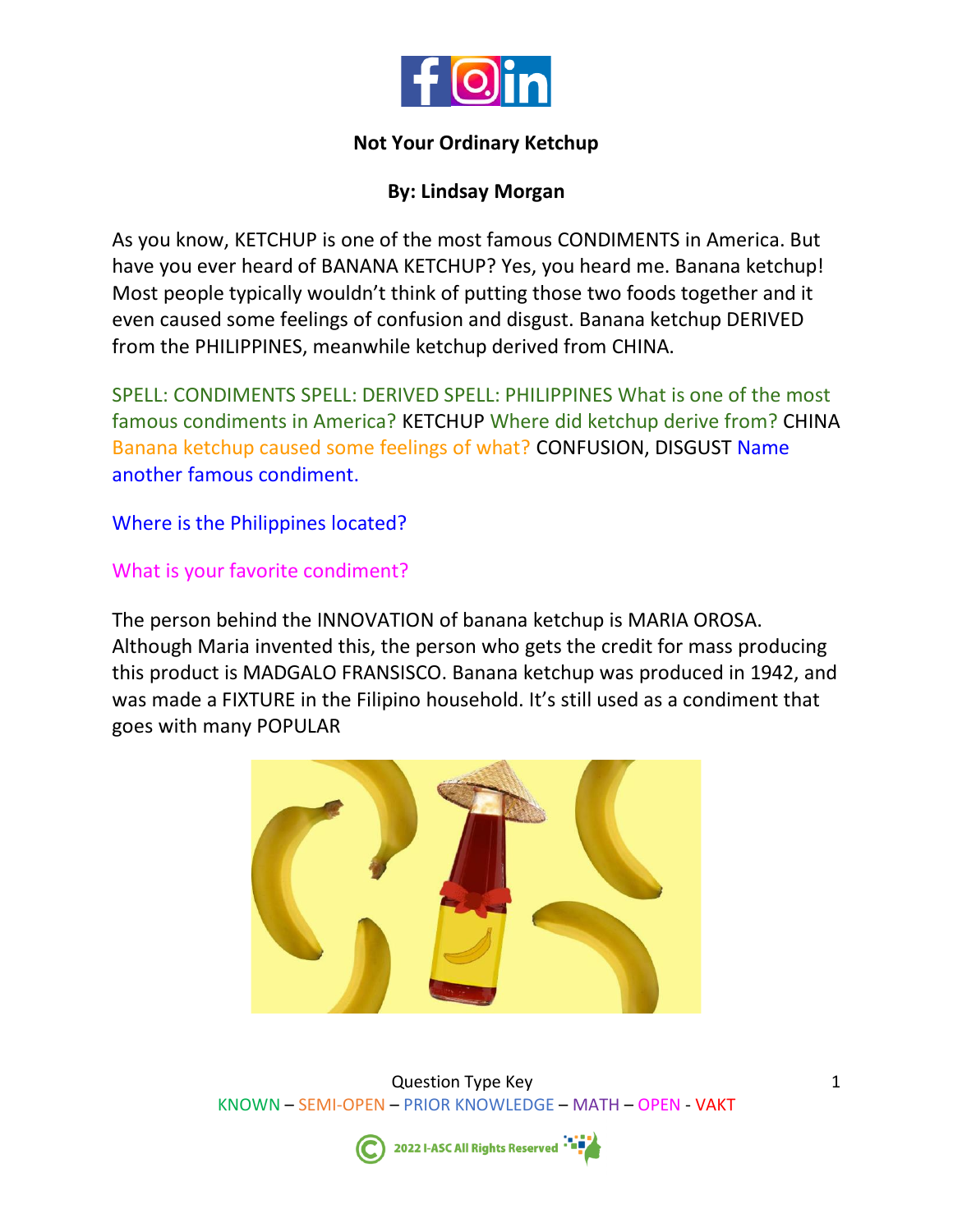

#### **Not Your Ordinary Ketchup**

# **By: Lindsay Morgan**

As you know, KETCHUP is one of the most famous CONDIMENTS in America. But have you ever heard of BANANA KETCHUP? Yes, you heard me. Banana ketchup! Most people typically wouldn't think of putting those two foods together and it even caused some feelings of confusion and disgust. Banana ketchup DERIVED from the PHILIPPINES, meanwhile ketchup derived from CHINA.

SPELL: CONDIMENTS SPELL: DERIVED SPELL: PHILIPPINES What is one of the most famous condiments in America? KETCHUP Where did ketchup derive from? CHINA Banana ketchup caused some feelings of what? CONFUSION, DISGUST Name another famous condiment.

Where is the Philippines located?

## What is your favorite condiment?

The person behind the INNOVATION of banana ketchup is MARIA OROSA. Although Maria invented this, the person who gets the credit for mass producing this product is MADGALO FRANSISCO. Banana ketchup was produced in 1942, and was made a FIXTURE in the Filipino household. It's still used as a condiment that goes with many POPULAR



Question Type Key KNOWN – SEMI-OPEN – PRIOR KNOWLEDGE – MATH – OPEN - VAKT

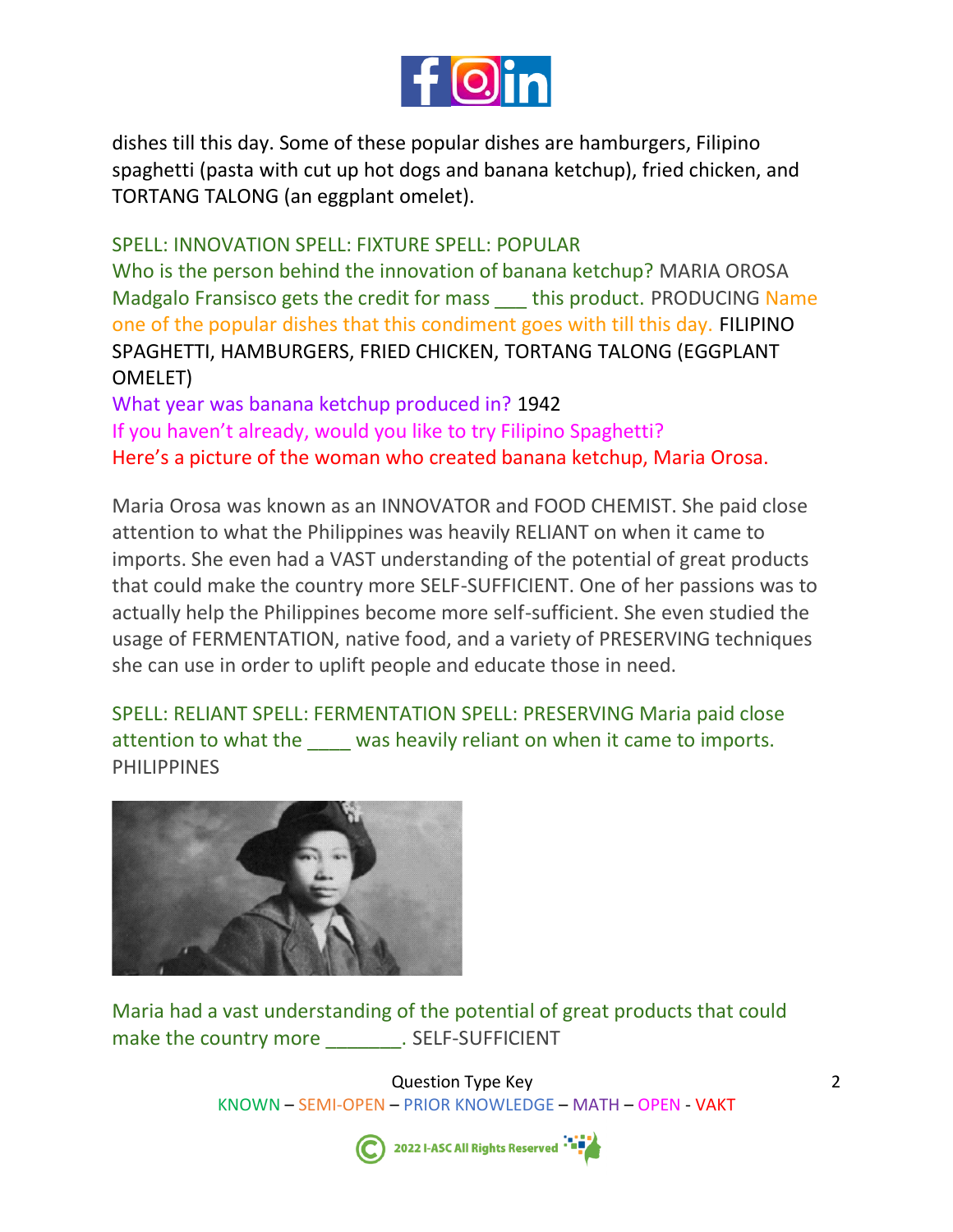

dishes till this day. Some of these popular dishes are hamburgers, Filipino spaghetti (pasta with cut up hot dogs and banana ketchup), fried chicken, and TORTANG TALONG (an eggplant omelet).

SPELL: INNOVATION SPELL: FIXTURE SPELL: POPULAR Who is the person behind the innovation of banana ketchup? MARIA OROSA Madgalo Fransisco gets the credit for mass this product. PRODUCING Name one of the popular dishes that this condiment goes with till this day. FILIPINO SPAGHETTI, HAMBURGERS, FRIED CHICKEN, TORTANG TALONG (EGGPLANT OMELET)

What year was banana ketchup produced in? 1942 If you haven't already, would you like to try Filipino Spaghetti? Here's a picture of the woman who created banana ketchup, Maria Orosa.

Maria Orosa was known as an INNOVATOR and FOOD CHEMIST. She paid close attention to what the Philippines was heavily RELIANT on when it came to imports. She even had a VAST understanding of the potential of great products that could make the country more SELF-SUFFICIENT. One of her passions was to actually help the Philippines become more self-sufficient. She even studied the usage of FERMENTATION, native food, and a variety of PRESERVING techniques she can use in order to uplift people and educate those in need.

SPELL: RELIANT SPELL: FERMENTATION SPELL: PRESERVING Maria paid close attention to what the \_\_\_\_ was heavily reliant on when it came to imports. **PHILIPPINES** 



Maria had a vast understanding of the potential of great products that could make the country more \_\_\_\_\_\_\_\_\_. SELF-SUFFICIENT

> Question Type Key KNOWN – SEMI-OPEN – PRIOR KNOWLEDGE – MATH – OPEN - VAKT



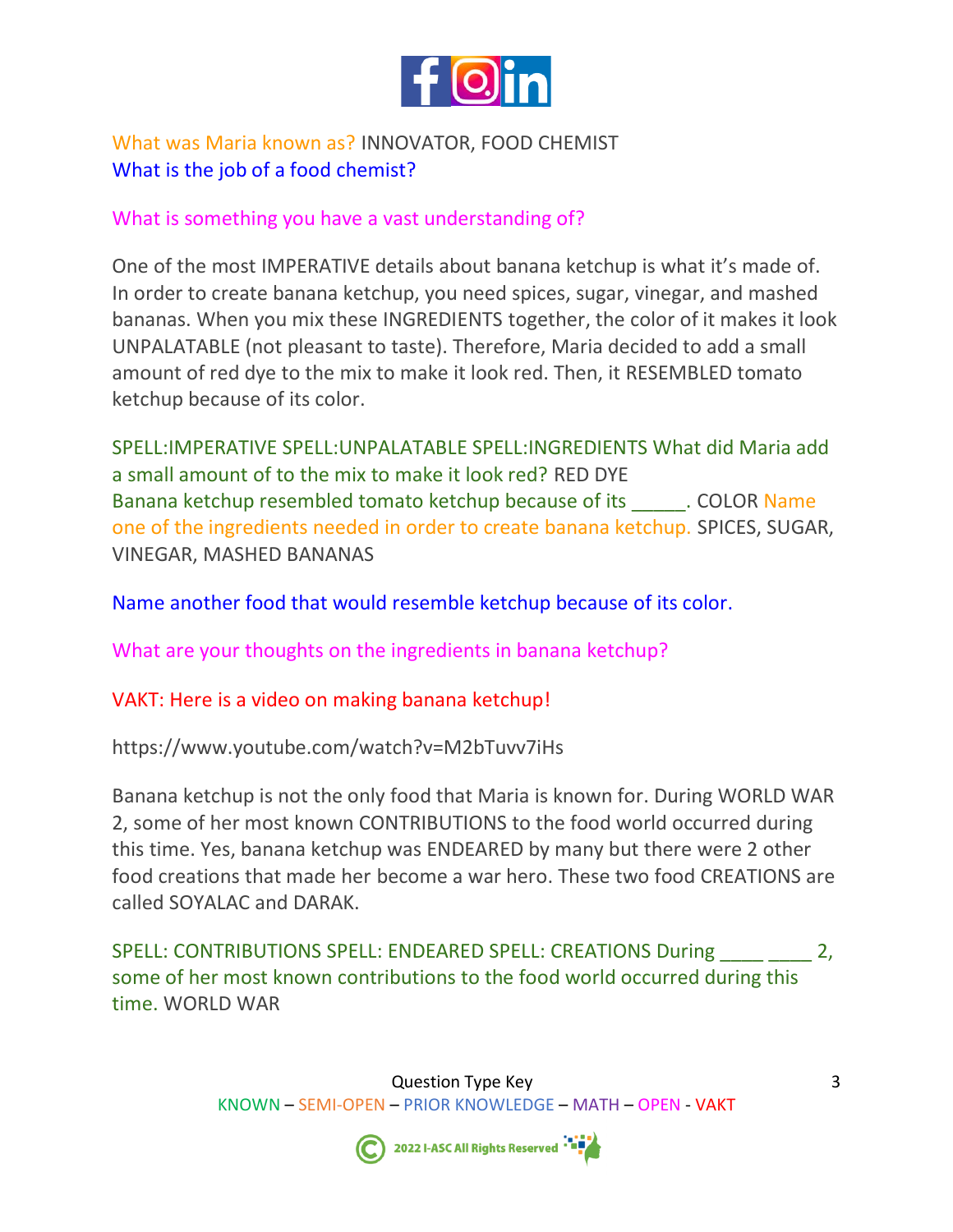

# What was Maria known as? INNOVATOR, FOOD CHEMIST What is the job of a food chemist?

#### What is something you have a vast understanding of?

One of the most IMPERATIVE details about banana ketchup is what it's made of. In order to create banana ketchup, you need spices, sugar, vinegar, and mashed bananas. When you mix these INGREDIENTS together, the color of it makes it look UNPALATABLE (not pleasant to taste). Therefore, Maria decided to add a small amount of red dye to the mix to make it look red. Then, it RESEMBLED tomato ketchup because of its color.

SPELL:IMPERATIVE SPELL:UNPALATABLE SPELL:INGREDIENTS What did Maria add a small amount of to the mix to make it look red? RED DYE Banana ketchup resembled tomato ketchup because of its \_\_\_\_\_. COLOR Name one of the ingredients needed in order to create banana ketchup. SPICES, SUGAR, VINEGAR, MASHED BANANAS

Name another food that would resemble ketchup because of its color.

What are your thoughts on the ingredients in banana ketchup?

VAKT: Here is a video on making banana ketchup!

https://www.youtube.com/watch?v=M2bTuvv7iHs

Banana ketchup is not the only food that Maria is known for. During WORLD WAR 2, some of her most known CONTRIBUTIONS to the food world occurred during this time. Yes, banana ketchup was ENDEARED by many but there were 2 other food creations that made her become a war hero. These two food CREATIONS are called SOYALAC and DARAK.

SPELL: CONTRIBUTIONS SPELL: ENDEARED SPELL: CREATIONS During 2, some of her most known contributions to the food world occurred during this time. WORLD WAR



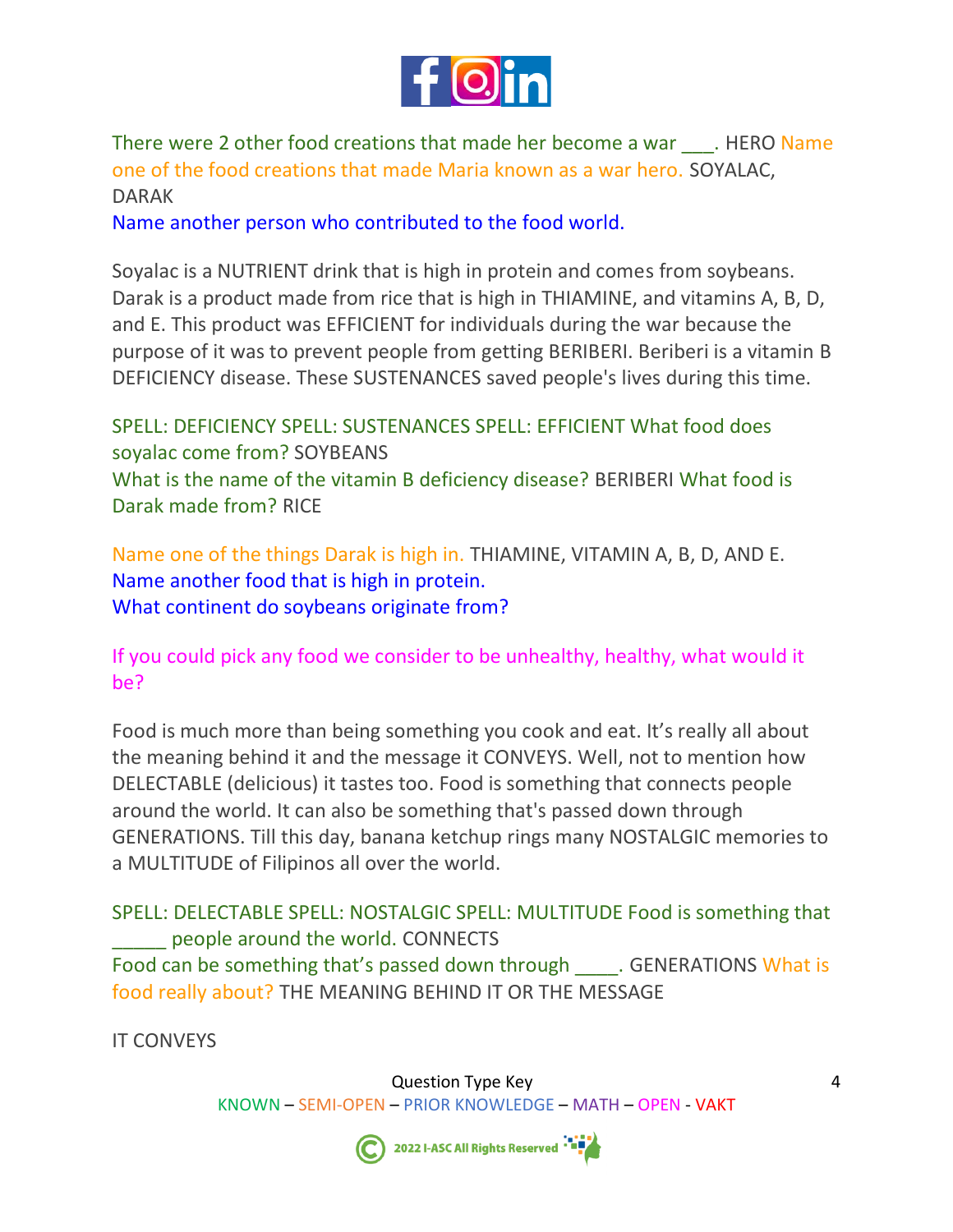

There were 2 other food creations that made her become a war \_\_\_. HERO Name one of the food creations that made Maria known as a war hero. SOYALAC, DARAK

Name another person who contributed to the food world.

Soyalac is a NUTRIENT drink that is high in protein and comes from soybeans. Darak is a product made from rice that is high in THIAMINE, and vitamins A, B, D, and E. This product was EFFICIENT for individuals during the war because the purpose of it was to prevent people from getting BERIBERI. Beriberi is a vitamin B DEFICIENCY disease. These SUSTENANCES saved people's lives during this time.

SPELL: DEFICIENCY SPELL: SUSTENANCES SPELL: EFFICIENT What food does soyalac come from? SOYBEANS What is the name of the vitamin B deficiency disease? BERIBERI What food is Darak made from? RICE

Name one of the things Darak is high in. THIAMINE, VITAMIN A, B, D, AND E. Name another food that is high in protein. What continent do soybeans originate from?

If you could pick any food we consider to be unhealthy, healthy, what would it be?

Food is much more than being something you cook and eat. It's really all about the meaning behind it and the message it CONVEYS. Well, not to mention how DELECTABLE (delicious) it tastes too. Food is something that connects people around the world. It can also be something that's passed down through GENERATIONS. Till this day, banana ketchup rings many NOSTALGIC memories to a MULTITUDE of Filipinos all over the world.

SPELL: DELECTABLE SPELL: NOSTALGIC SPELL: MULTITUDE Food is something that \_\_\_\_\_ people around the world. CONNECTS Food can be something that's passed down through \_\_\_\_\_. GENERATIONS What is food really about? THE MEANING BEHIND IT OR THE MESSAGE

IT CONVEYS

Question Type Key KNOWN – SEMI-OPEN – PRIOR KNOWLEDGE – MATH – OPEN - VAKT